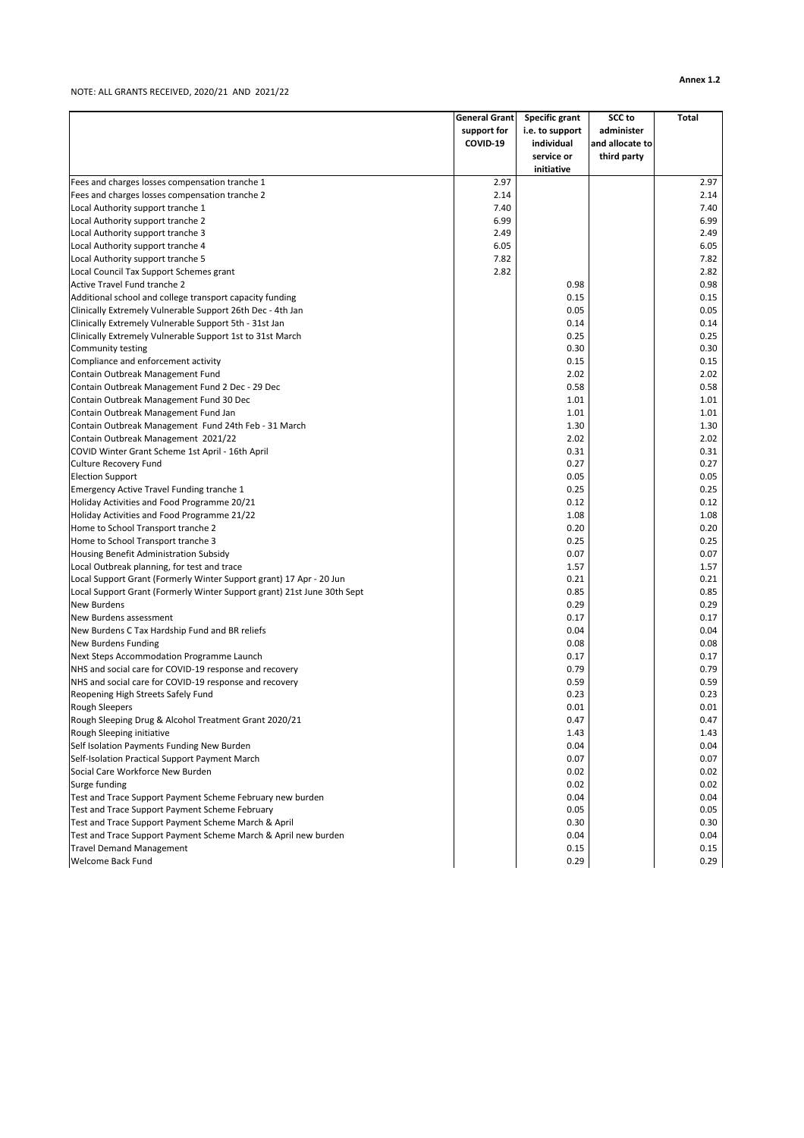## NOTE: ALL GRANTS RECEIVED, 2020/21 AND 2021/22

| support for<br>i.e. to support<br>COVID-19<br>and allocate to<br>individual<br>service or<br>third party<br>initiative<br>Fees and charges losses compensation tranche 1<br>2.97<br>2.97<br>Fees and charges losses compensation tranche 2<br>2.14<br>2.14<br>Local Authority support tranche 1<br>7.40<br>7.40<br>6.99<br>Local Authority support tranche 2<br>6.99<br>2.49<br>Local Authority support tranche 3<br>2.49<br>Local Authority support tranche 4<br>6.05<br>6.05<br>7.82<br>Local Authority support tranche 5<br>7.82<br>Local Council Tax Support Schemes grant<br>2.82<br>2.82<br>Active Travel Fund tranche 2<br>0.98<br>0.98<br>Additional school and college transport capacity funding<br>0.15<br>0.15<br>Clinically Extremely Vulnerable Support 26th Dec - 4th Jan<br>0.05<br>0.05<br>Clinically Extremely Vulnerable Support 5th - 31st Jan<br>0.14<br>0.14<br>Clinically Extremely Vulnerable Support 1st to 31st March<br>0.25<br>0.25<br>0.30<br>0.30<br>Community testing<br>Compliance and enforcement activity<br>0.15<br>0.15<br>2.02<br>2.02<br>Contain Outbreak Management Fund<br>Contain Outbreak Management Fund 2 Dec - 29 Dec<br>0.58<br>0.58<br>Contain Outbreak Management Fund 30 Dec<br>1.01<br>1.01<br>1.01<br>Contain Outbreak Management Fund Jan<br>1.01<br>Contain Outbreak Management Fund 24th Feb - 31 March<br>1.30<br>1.30<br>2.02<br>2.02<br>Contain Outbreak Management 2021/22<br>COVID Winter Grant Scheme 1st April - 16th April<br>0.31<br>0.31<br><b>Culture Recovery Fund</b><br>0.27<br>0.27<br><b>Election Support</b><br>0.05<br>0.05<br>0.25<br>0.25<br>Emergency Active Travel Funding tranche 1<br>Holiday Activities and Food Programme 20/21<br>0.12<br>0.12<br>1.08<br>1.08<br>Holiday Activities and Food Programme 21/22<br>0.20<br>0.20<br>Home to School Transport tranche 2<br>Home to School Transport tranche 3<br>0.25<br>0.25<br>0.07<br>Housing Benefit Administration Subsidy<br>0.07<br>Local Outbreak planning, for test and trace<br>1.57<br>1.57<br>Local Support Grant (Formerly Winter Support grant) 17 Apr - 20 Jun<br>0.21<br>0.21<br>Local Support Grant (Formerly Winter Support grant) 21st June 30th Sept<br>0.85<br>0.85<br>New Burdens<br>0.29<br>0.29<br>0.17<br>0.17<br>New Burdens assessment<br>New Burdens C Tax Hardship Fund and BR reliefs<br>0.04<br>0.04<br>New Burdens Funding<br>0.08<br>0.08<br>0.17<br>Next Steps Accommodation Programme Launch<br>0.17<br>NHS and social care for COVID-19 response and recovery<br>0.79<br>0.79<br>NHS and social care for COVID-19 response and recovery<br>0.59<br>0.59<br>Reopening High Streets Safely Fund<br>0.23<br>0.23<br><b>Rough Sleepers</b><br>0.01<br>0.01<br>Rough Sleeping Drug & Alcohol Treatment Grant 2020/21<br>0.47<br>0.47<br>Rough Sleeping initiative<br>1.43<br>1.43<br>Self Isolation Payments Funding New Burden<br>0.04<br>0.04<br>Self-Isolation Practical Support Payment March<br>0.07<br>0.07<br>0.02<br>Social Care Workforce New Burden<br>0.02<br>Surge funding<br>0.02<br>0.02<br>Test and Trace Support Payment Scheme February new burden<br>0.04<br>0.04 |                                                | <b>General Grant</b> | <b>Specific grant</b> | <b>SCC</b> to<br>administer | <b>Total</b> |
|-------------------------------------------------------------------------------------------------------------------------------------------------------------------------------------------------------------------------------------------------------------------------------------------------------------------------------------------------------------------------------------------------------------------------------------------------------------------------------------------------------------------------------------------------------------------------------------------------------------------------------------------------------------------------------------------------------------------------------------------------------------------------------------------------------------------------------------------------------------------------------------------------------------------------------------------------------------------------------------------------------------------------------------------------------------------------------------------------------------------------------------------------------------------------------------------------------------------------------------------------------------------------------------------------------------------------------------------------------------------------------------------------------------------------------------------------------------------------------------------------------------------------------------------------------------------------------------------------------------------------------------------------------------------------------------------------------------------------------------------------------------------------------------------------------------------------------------------------------------------------------------------------------------------------------------------------------------------------------------------------------------------------------------------------------------------------------------------------------------------------------------------------------------------------------------------------------------------------------------------------------------------------------------------------------------------------------------------------------------------------------------------------------------------------------------------------------------------------------------------------------------------------------------------------------------------------------------------------------------------------------------------------------------------------------------------------------------------------------------------------------------------------------------------------------------------------------------------------------------------------------------------------------------------------------------------------------------------------------------------------------------------------------------------------------------------------------------------------------------------------------------------------|------------------------------------------------|----------------------|-----------------------|-----------------------------|--------------|
|                                                                                                                                                                                                                                                                                                                                                                                                                                                                                                                                                                                                                                                                                                                                                                                                                                                                                                                                                                                                                                                                                                                                                                                                                                                                                                                                                                                                                                                                                                                                                                                                                                                                                                                                                                                                                                                                                                                                                                                                                                                                                                                                                                                                                                                                                                                                                                                                                                                                                                                                                                                                                                                                                                                                                                                                                                                                                                                                                                                                                                                                                                                                                 |                                                |                      |                       |                             |              |
|                                                                                                                                                                                                                                                                                                                                                                                                                                                                                                                                                                                                                                                                                                                                                                                                                                                                                                                                                                                                                                                                                                                                                                                                                                                                                                                                                                                                                                                                                                                                                                                                                                                                                                                                                                                                                                                                                                                                                                                                                                                                                                                                                                                                                                                                                                                                                                                                                                                                                                                                                                                                                                                                                                                                                                                                                                                                                                                                                                                                                                                                                                                                                 |                                                |                      |                       |                             |              |
|                                                                                                                                                                                                                                                                                                                                                                                                                                                                                                                                                                                                                                                                                                                                                                                                                                                                                                                                                                                                                                                                                                                                                                                                                                                                                                                                                                                                                                                                                                                                                                                                                                                                                                                                                                                                                                                                                                                                                                                                                                                                                                                                                                                                                                                                                                                                                                                                                                                                                                                                                                                                                                                                                                                                                                                                                                                                                                                                                                                                                                                                                                                                                 |                                                |                      |                       |                             |              |
|                                                                                                                                                                                                                                                                                                                                                                                                                                                                                                                                                                                                                                                                                                                                                                                                                                                                                                                                                                                                                                                                                                                                                                                                                                                                                                                                                                                                                                                                                                                                                                                                                                                                                                                                                                                                                                                                                                                                                                                                                                                                                                                                                                                                                                                                                                                                                                                                                                                                                                                                                                                                                                                                                                                                                                                                                                                                                                                                                                                                                                                                                                                                                 |                                                |                      |                       |                             |              |
|                                                                                                                                                                                                                                                                                                                                                                                                                                                                                                                                                                                                                                                                                                                                                                                                                                                                                                                                                                                                                                                                                                                                                                                                                                                                                                                                                                                                                                                                                                                                                                                                                                                                                                                                                                                                                                                                                                                                                                                                                                                                                                                                                                                                                                                                                                                                                                                                                                                                                                                                                                                                                                                                                                                                                                                                                                                                                                                                                                                                                                                                                                                                                 |                                                |                      |                       |                             |              |
|                                                                                                                                                                                                                                                                                                                                                                                                                                                                                                                                                                                                                                                                                                                                                                                                                                                                                                                                                                                                                                                                                                                                                                                                                                                                                                                                                                                                                                                                                                                                                                                                                                                                                                                                                                                                                                                                                                                                                                                                                                                                                                                                                                                                                                                                                                                                                                                                                                                                                                                                                                                                                                                                                                                                                                                                                                                                                                                                                                                                                                                                                                                                                 |                                                |                      |                       |                             |              |
|                                                                                                                                                                                                                                                                                                                                                                                                                                                                                                                                                                                                                                                                                                                                                                                                                                                                                                                                                                                                                                                                                                                                                                                                                                                                                                                                                                                                                                                                                                                                                                                                                                                                                                                                                                                                                                                                                                                                                                                                                                                                                                                                                                                                                                                                                                                                                                                                                                                                                                                                                                                                                                                                                                                                                                                                                                                                                                                                                                                                                                                                                                                                                 |                                                |                      |                       |                             |              |
|                                                                                                                                                                                                                                                                                                                                                                                                                                                                                                                                                                                                                                                                                                                                                                                                                                                                                                                                                                                                                                                                                                                                                                                                                                                                                                                                                                                                                                                                                                                                                                                                                                                                                                                                                                                                                                                                                                                                                                                                                                                                                                                                                                                                                                                                                                                                                                                                                                                                                                                                                                                                                                                                                                                                                                                                                                                                                                                                                                                                                                                                                                                                                 |                                                |                      |                       |                             |              |
|                                                                                                                                                                                                                                                                                                                                                                                                                                                                                                                                                                                                                                                                                                                                                                                                                                                                                                                                                                                                                                                                                                                                                                                                                                                                                                                                                                                                                                                                                                                                                                                                                                                                                                                                                                                                                                                                                                                                                                                                                                                                                                                                                                                                                                                                                                                                                                                                                                                                                                                                                                                                                                                                                                                                                                                                                                                                                                                                                                                                                                                                                                                                                 |                                                |                      |                       |                             |              |
|                                                                                                                                                                                                                                                                                                                                                                                                                                                                                                                                                                                                                                                                                                                                                                                                                                                                                                                                                                                                                                                                                                                                                                                                                                                                                                                                                                                                                                                                                                                                                                                                                                                                                                                                                                                                                                                                                                                                                                                                                                                                                                                                                                                                                                                                                                                                                                                                                                                                                                                                                                                                                                                                                                                                                                                                                                                                                                                                                                                                                                                                                                                                                 |                                                |                      |                       |                             |              |
|                                                                                                                                                                                                                                                                                                                                                                                                                                                                                                                                                                                                                                                                                                                                                                                                                                                                                                                                                                                                                                                                                                                                                                                                                                                                                                                                                                                                                                                                                                                                                                                                                                                                                                                                                                                                                                                                                                                                                                                                                                                                                                                                                                                                                                                                                                                                                                                                                                                                                                                                                                                                                                                                                                                                                                                                                                                                                                                                                                                                                                                                                                                                                 |                                                |                      |                       |                             |              |
|                                                                                                                                                                                                                                                                                                                                                                                                                                                                                                                                                                                                                                                                                                                                                                                                                                                                                                                                                                                                                                                                                                                                                                                                                                                                                                                                                                                                                                                                                                                                                                                                                                                                                                                                                                                                                                                                                                                                                                                                                                                                                                                                                                                                                                                                                                                                                                                                                                                                                                                                                                                                                                                                                                                                                                                                                                                                                                                                                                                                                                                                                                                                                 |                                                |                      |                       |                             |              |
|                                                                                                                                                                                                                                                                                                                                                                                                                                                                                                                                                                                                                                                                                                                                                                                                                                                                                                                                                                                                                                                                                                                                                                                                                                                                                                                                                                                                                                                                                                                                                                                                                                                                                                                                                                                                                                                                                                                                                                                                                                                                                                                                                                                                                                                                                                                                                                                                                                                                                                                                                                                                                                                                                                                                                                                                                                                                                                                                                                                                                                                                                                                                                 |                                                |                      |                       |                             |              |
|                                                                                                                                                                                                                                                                                                                                                                                                                                                                                                                                                                                                                                                                                                                                                                                                                                                                                                                                                                                                                                                                                                                                                                                                                                                                                                                                                                                                                                                                                                                                                                                                                                                                                                                                                                                                                                                                                                                                                                                                                                                                                                                                                                                                                                                                                                                                                                                                                                                                                                                                                                                                                                                                                                                                                                                                                                                                                                                                                                                                                                                                                                                                                 |                                                |                      |                       |                             |              |
|                                                                                                                                                                                                                                                                                                                                                                                                                                                                                                                                                                                                                                                                                                                                                                                                                                                                                                                                                                                                                                                                                                                                                                                                                                                                                                                                                                                                                                                                                                                                                                                                                                                                                                                                                                                                                                                                                                                                                                                                                                                                                                                                                                                                                                                                                                                                                                                                                                                                                                                                                                                                                                                                                                                                                                                                                                                                                                                                                                                                                                                                                                                                                 |                                                |                      |                       |                             |              |
|                                                                                                                                                                                                                                                                                                                                                                                                                                                                                                                                                                                                                                                                                                                                                                                                                                                                                                                                                                                                                                                                                                                                                                                                                                                                                                                                                                                                                                                                                                                                                                                                                                                                                                                                                                                                                                                                                                                                                                                                                                                                                                                                                                                                                                                                                                                                                                                                                                                                                                                                                                                                                                                                                                                                                                                                                                                                                                                                                                                                                                                                                                                                                 |                                                |                      |                       |                             |              |
|                                                                                                                                                                                                                                                                                                                                                                                                                                                                                                                                                                                                                                                                                                                                                                                                                                                                                                                                                                                                                                                                                                                                                                                                                                                                                                                                                                                                                                                                                                                                                                                                                                                                                                                                                                                                                                                                                                                                                                                                                                                                                                                                                                                                                                                                                                                                                                                                                                                                                                                                                                                                                                                                                                                                                                                                                                                                                                                                                                                                                                                                                                                                                 |                                                |                      |                       |                             |              |
|                                                                                                                                                                                                                                                                                                                                                                                                                                                                                                                                                                                                                                                                                                                                                                                                                                                                                                                                                                                                                                                                                                                                                                                                                                                                                                                                                                                                                                                                                                                                                                                                                                                                                                                                                                                                                                                                                                                                                                                                                                                                                                                                                                                                                                                                                                                                                                                                                                                                                                                                                                                                                                                                                                                                                                                                                                                                                                                                                                                                                                                                                                                                                 |                                                |                      |                       |                             |              |
|                                                                                                                                                                                                                                                                                                                                                                                                                                                                                                                                                                                                                                                                                                                                                                                                                                                                                                                                                                                                                                                                                                                                                                                                                                                                                                                                                                                                                                                                                                                                                                                                                                                                                                                                                                                                                                                                                                                                                                                                                                                                                                                                                                                                                                                                                                                                                                                                                                                                                                                                                                                                                                                                                                                                                                                                                                                                                                                                                                                                                                                                                                                                                 |                                                |                      |                       |                             |              |
|                                                                                                                                                                                                                                                                                                                                                                                                                                                                                                                                                                                                                                                                                                                                                                                                                                                                                                                                                                                                                                                                                                                                                                                                                                                                                                                                                                                                                                                                                                                                                                                                                                                                                                                                                                                                                                                                                                                                                                                                                                                                                                                                                                                                                                                                                                                                                                                                                                                                                                                                                                                                                                                                                                                                                                                                                                                                                                                                                                                                                                                                                                                                                 |                                                |                      |                       |                             |              |
|                                                                                                                                                                                                                                                                                                                                                                                                                                                                                                                                                                                                                                                                                                                                                                                                                                                                                                                                                                                                                                                                                                                                                                                                                                                                                                                                                                                                                                                                                                                                                                                                                                                                                                                                                                                                                                                                                                                                                                                                                                                                                                                                                                                                                                                                                                                                                                                                                                                                                                                                                                                                                                                                                                                                                                                                                                                                                                                                                                                                                                                                                                                                                 |                                                |                      |                       |                             |              |
|                                                                                                                                                                                                                                                                                                                                                                                                                                                                                                                                                                                                                                                                                                                                                                                                                                                                                                                                                                                                                                                                                                                                                                                                                                                                                                                                                                                                                                                                                                                                                                                                                                                                                                                                                                                                                                                                                                                                                                                                                                                                                                                                                                                                                                                                                                                                                                                                                                                                                                                                                                                                                                                                                                                                                                                                                                                                                                                                                                                                                                                                                                                                                 |                                                |                      |                       |                             |              |
|                                                                                                                                                                                                                                                                                                                                                                                                                                                                                                                                                                                                                                                                                                                                                                                                                                                                                                                                                                                                                                                                                                                                                                                                                                                                                                                                                                                                                                                                                                                                                                                                                                                                                                                                                                                                                                                                                                                                                                                                                                                                                                                                                                                                                                                                                                                                                                                                                                                                                                                                                                                                                                                                                                                                                                                                                                                                                                                                                                                                                                                                                                                                                 |                                                |                      |                       |                             |              |
|                                                                                                                                                                                                                                                                                                                                                                                                                                                                                                                                                                                                                                                                                                                                                                                                                                                                                                                                                                                                                                                                                                                                                                                                                                                                                                                                                                                                                                                                                                                                                                                                                                                                                                                                                                                                                                                                                                                                                                                                                                                                                                                                                                                                                                                                                                                                                                                                                                                                                                                                                                                                                                                                                                                                                                                                                                                                                                                                                                                                                                                                                                                                                 |                                                |                      |                       |                             |              |
|                                                                                                                                                                                                                                                                                                                                                                                                                                                                                                                                                                                                                                                                                                                                                                                                                                                                                                                                                                                                                                                                                                                                                                                                                                                                                                                                                                                                                                                                                                                                                                                                                                                                                                                                                                                                                                                                                                                                                                                                                                                                                                                                                                                                                                                                                                                                                                                                                                                                                                                                                                                                                                                                                                                                                                                                                                                                                                                                                                                                                                                                                                                                                 |                                                |                      |                       |                             |              |
|                                                                                                                                                                                                                                                                                                                                                                                                                                                                                                                                                                                                                                                                                                                                                                                                                                                                                                                                                                                                                                                                                                                                                                                                                                                                                                                                                                                                                                                                                                                                                                                                                                                                                                                                                                                                                                                                                                                                                                                                                                                                                                                                                                                                                                                                                                                                                                                                                                                                                                                                                                                                                                                                                                                                                                                                                                                                                                                                                                                                                                                                                                                                                 |                                                |                      |                       |                             |              |
|                                                                                                                                                                                                                                                                                                                                                                                                                                                                                                                                                                                                                                                                                                                                                                                                                                                                                                                                                                                                                                                                                                                                                                                                                                                                                                                                                                                                                                                                                                                                                                                                                                                                                                                                                                                                                                                                                                                                                                                                                                                                                                                                                                                                                                                                                                                                                                                                                                                                                                                                                                                                                                                                                                                                                                                                                                                                                                                                                                                                                                                                                                                                                 |                                                |                      |                       |                             |              |
|                                                                                                                                                                                                                                                                                                                                                                                                                                                                                                                                                                                                                                                                                                                                                                                                                                                                                                                                                                                                                                                                                                                                                                                                                                                                                                                                                                                                                                                                                                                                                                                                                                                                                                                                                                                                                                                                                                                                                                                                                                                                                                                                                                                                                                                                                                                                                                                                                                                                                                                                                                                                                                                                                                                                                                                                                                                                                                                                                                                                                                                                                                                                                 |                                                |                      |                       |                             |              |
|                                                                                                                                                                                                                                                                                                                                                                                                                                                                                                                                                                                                                                                                                                                                                                                                                                                                                                                                                                                                                                                                                                                                                                                                                                                                                                                                                                                                                                                                                                                                                                                                                                                                                                                                                                                                                                                                                                                                                                                                                                                                                                                                                                                                                                                                                                                                                                                                                                                                                                                                                                                                                                                                                                                                                                                                                                                                                                                                                                                                                                                                                                                                                 |                                                |                      |                       |                             |              |
|                                                                                                                                                                                                                                                                                                                                                                                                                                                                                                                                                                                                                                                                                                                                                                                                                                                                                                                                                                                                                                                                                                                                                                                                                                                                                                                                                                                                                                                                                                                                                                                                                                                                                                                                                                                                                                                                                                                                                                                                                                                                                                                                                                                                                                                                                                                                                                                                                                                                                                                                                                                                                                                                                                                                                                                                                                                                                                                                                                                                                                                                                                                                                 |                                                |                      |                       |                             |              |
|                                                                                                                                                                                                                                                                                                                                                                                                                                                                                                                                                                                                                                                                                                                                                                                                                                                                                                                                                                                                                                                                                                                                                                                                                                                                                                                                                                                                                                                                                                                                                                                                                                                                                                                                                                                                                                                                                                                                                                                                                                                                                                                                                                                                                                                                                                                                                                                                                                                                                                                                                                                                                                                                                                                                                                                                                                                                                                                                                                                                                                                                                                                                                 |                                                |                      |                       |                             |              |
|                                                                                                                                                                                                                                                                                                                                                                                                                                                                                                                                                                                                                                                                                                                                                                                                                                                                                                                                                                                                                                                                                                                                                                                                                                                                                                                                                                                                                                                                                                                                                                                                                                                                                                                                                                                                                                                                                                                                                                                                                                                                                                                                                                                                                                                                                                                                                                                                                                                                                                                                                                                                                                                                                                                                                                                                                                                                                                                                                                                                                                                                                                                                                 |                                                |                      |                       |                             |              |
|                                                                                                                                                                                                                                                                                                                                                                                                                                                                                                                                                                                                                                                                                                                                                                                                                                                                                                                                                                                                                                                                                                                                                                                                                                                                                                                                                                                                                                                                                                                                                                                                                                                                                                                                                                                                                                                                                                                                                                                                                                                                                                                                                                                                                                                                                                                                                                                                                                                                                                                                                                                                                                                                                                                                                                                                                                                                                                                                                                                                                                                                                                                                                 |                                                |                      |                       |                             |              |
|                                                                                                                                                                                                                                                                                                                                                                                                                                                                                                                                                                                                                                                                                                                                                                                                                                                                                                                                                                                                                                                                                                                                                                                                                                                                                                                                                                                                                                                                                                                                                                                                                                                                                                                                                                                                                                                                                                                                                                                                                                                                                                                                                                                                                                                                                                                                                                                                                                                                                                                                                                                                                                                                                                                                                                                                                                                                                                                                                                                                                                                                                                                                                 |                                                |                      |                       |                             |              |
|                                                                                                                                                                                                                                                                                                                                                                                                                                                                                                                                                                                                                                                                                                                                                                                                                                                                                                                                                                                                                                                                                                                                                                                                                                                                                                                                                                                                                                                                                                                                                                                                                                                                                                                                                                                                                                                                                                                                                                                                                                                                                                                                                                                                                                                                                                                                                                                                                                                                                                                                                                                                                                                                                                                                                                                                                                                                                                                                                                                                                                                                                                                                                 |                                                |                      |                       |                             |              |
|                                                                                                                                                                                                                                                                                                                                                                                                                                                                                                                                                                                                                                                                                                                                                                                                                                                                                                                                                                                                                                                                                                                                                                                                                                                                                                                                                                                                                                                                                                                                                                                                                                                                                                                                                                                                                                                                                                                                                                                                                                                                                                                                                                                                                                                                                                                                                                                                                                                                                                                                                                                                                                                                                                                                                                                                                                                                                                                                                                                                                                                                                                                                                 |                                                |                      |                       |                             |              |
|                                                                                                                                                                                                                                                                                                                                                                                                                                                                                                                                                                                                                                                                                                                                                                                                                                                                                                                                                                                                                                                                                                                                                                                                                                                                                                                                                                                                                                                                                                                                                                                                                                                                                                                                                                                                                                                                                                                                                                                                                                                                                                                                                                                                                                                                                                                                                                                                                                                                                                                                                                                                                                                                                                                                                                                                                                                                                                                                                                                                                                                                                                                                                 |                                                |                      |                       |                             |              |
|                                                                                                                                                                                                                                                                                                                                                                                                                                                                                                                                                                                                                                                                                                                                                                                                                                                                                                                                                                                                                                                                                                                                                                                                                                                                                                                                                                                                                                                                                                                                                                                                                                                                                                                                                                                                                                                                                                                                                                                                                                                                                                                                                                                                                                                                                                                                                                                                                                                                                                                                                                                                                                                                                                                                                                                                                                                                                                                                                                                                                                                                                                                                                 |                                                |                      |                       |                             |              |
|                                                                                                                                                                                                                                                                                                                                                                                                                                                                                                                                                                                                                                                                                                                                                                                                                                                                                                                                                                                                                                                                                                                                                                                                                                                                                                                                                                                                                                                                                                                                                                                                                                                                                                                                                                                                                                                                                                                                                                                                                                                                                                                                                                                                                                                                                                                                                                                                                                                                                                                                                                                                                                                                                                                                                                                                                                                                                                                                                                                                                                                                                                                                                 |                                                |                      |                       |                             |              |
|                                                                                                                                                                                                                                                                                                                                                                                                                                                                                                                                                                                                                                                                                                                                                                                                                                                                                                                                                                                                                                                                                                                                                                                                                                                                                                                                                                                                                                                                                                                                                                                                                                                                                                                                                                                                                                                                                                                                                                                                                                                                                                                                                                                                                                                                                                                                                                                                                                                                                                                                                                                                                                                                                                                                                                                                                                                                                                                                                                                                                                                                                                                                                 |                                                |                      |                       |                             |              |
|                                                                                                                                                                                                                                                                                                                                                                                                                                                                                                                                                                                                                                                                                                                                                                                                                                                                                                                                                                                                                                                                                                                                                                                                                                                                                                                                                                                                                                                                                                                                                                                                                                                                                                                                                                                                                                                                                                                                                                                                                                                                                                                                                                                                                                                                                                                                                                                                                                                                                                                                                                                                                                                                                                                                                                                                                                                                                                                                                                                                                                                                                                                                                 |                                                |                      |                       |                             |              |
|                                                                                                                                                                                                                                                                                                                                                                                                                                                                                                                                                                                                                                                                                                                                                                                                                                                                                                                                                                                                                                                                                                                                                                                                                                                                                                                                                                                                                                                                                                                                                                                                                                                                                                                                                                                                                                                                                                                                                                                                                                                                                                                                                                                                                                                                                                                                                                                                                                                                                                                                                                                                                                                                                                                                                                                                                                                                                                                                                                                                                                                                                                                                                 |                                                |                      |                       |                             |              |
|                                                                                                                                                                                                                                                                                                                                                                                                                                                                                                                                                                                                                                                                                                                                                                                                                                                                                                                                                                                                                                                                                                                                                                                                                                                                                                                                                                                                                                                                                                                                                                                                                                                                                                                                                                                                                                                                                                                                                                                                                                                                                                                                                                                                                                                                                                                                                                                                                                                                                                                                                                                                                                                                                                                                                                                                                                                                                                                                                                                                                                                                                                                                                 |                                                |                      |                       |                             |              |
|                                                                                                                                                                                                                                                                                                                                                                                                                                                                                                                                                                                                                                                                                                                                                                                                                                                                                                                                                                                                                                                                                                                                                                                                                                                                                                                                                                                                                                                                                                                                                                                                                                                                                                                                                                                                                                                                                                                                                                                                                                                                                                                                                                                                                                                                                                                                                                                                                                                                                                                                                                                                                                                                                                                                                                                                                                                                                                                                                                                                                                                                                                                                                 |                                                |                      |                       |                             |              |
|                                                                                                                                                                                                                                                                                                                                                                                                                                                                                                                                                                                                                                                                                                                                                                                                                                                                                                                                                                                                                                                                                                                                                                                                                                                                                                                                                                                                                                                                                                                                                                                                                                                                                                                                                                                                                                                                                                                                                                                                                                                                                                                                                                                                                                                                                                                                                                                                                                                                                                                                                                                                                                                                                                                                                                                                                                                                                                                                                                                                                                                                                                                                                 |                                                |                      |                       |                             |              |
|                                                                                                                                                                                                                                                                                                                                                                                                                                                                                                                                                                                                                                                                                                                                                                                                                                                                                                                                                                                                                                                                                                                                                                                                                                                                                                                                                                                                                                                                                                                                                                                                                                                                                                                                                                                                                                                                                                                                                                                                                                                                                                                                                                                                                                                                                                                                                                                                                                                                                                                                                                                                                                                                                                                                                                                                                                                                                                                                                                                                                                                                                                                                                 |                                                |                      |                       |                             |              |
|                                                                                                                                                                                                                                                                                                                                                                                                                                                                                                                                                                                                                                                                                                                                                                                                                                                                                                                                                                                                                                                                                                                                                                                                                                                                                                                                                                                                                                                                                                                                                                                                                                                                                                                                                                                                                                                                                                                                                                                                                                                                                                                                                                                                                                                                                                                                                                                                                                                                                                                                                                                                                                                                                                                                                                                                                                                                                                                                                                                                                                                                                                                                                 |                                                |                      |                       |                             |              |
|                                                                                                                                                                                                                                                                                                                                                                                                                                                                                                                                                                                                                                                                                                                                                                                                                                                                                                                                                                                                                                                                                                                                                                                                                                                                                                                                                                                                                                                                                                                                                                                                                                                                                                                                                                                                                                                                                                                                                                                                                                                                                                                                                                                                                                                                                                                                                                                                                                                                                                                                                                                                                                                                                                                                                                                                                                                                                                                                                                                                                                                                                                                                                 |                                                |                      |                       |                             |              |
|                                                                                                                                                                                                                                                                                                                                                                                                                                                                                                                                                                                                                                                                                                                                                                                                                                                                                                                                                                                                                                                                                                                                                                                                                                                                                                                                                                                                                                                                                                                                                                                                                                                                                                                                                                                                                                                                                                                                                                                                                                                                                                                                                                                                                                                                                                                                                                                                                                                                                                                                                                                                                                                                                                                                                                                                                                                                                                                                                                                                                                                                                                                                                 |                                                |                      |                       |                             |              |
|                                                                                                                                                                                                                                                                                                                                                                                                                                                                                                                                                                                                                                                                                                                                                                                                                                                                                                                                                                                                                                                                                                                                                                                                                                                                                                                                                                                                                                                                                                                                                                                                                                                                                                                                                                                                                                                                                                                                                                                                                                                                                                                                                                                                                                                                                                                                                                                                                                                                                                                                                                                                                                                                                                                                                                                                                                                                                                                                                                                                                                                                                                                                                 |                                                |                      |                       |                             |              |
|                                                                                                                                                                                                                                                                                                                                                                                                                                                                                                                                                                                                                                                                                                                                                                                                                                                                                                                                                                                                                                                                                                                                                                                                                                                                                                                                                                                                                                                                                                                                                                                                                                                                                                                                                                                                                                                                                                                                                                                                                                                                                                                                                                                                                                                                                                                                                                                                                                                                                                                                                                                                                                                                                                                                                                                                                                                                                                                                                                                                                                                                                                                                                 |                                                |                      |                       |                             |              |
|                                                                                                                                                                                                                                                                                                                                                                                                                                                                                                                                                                                                                                                                                                                                                                                                                                                                                                                                                                                                                                                                                                                                                                                                                                                                                                                                                                                                                                                                                                                                                                                                                                                                                                                                                                                                                                                                                                                                                                                                                                                                                                                                                                                                                                                                                                                                                                                                                                                                                                                                                                                                                                                                                                                                                                                                                                                                                                                                                                                                                                                                                                                                                 |                                                |                      |                       |                             |              |
|                                                                                                                                                                                                                                                                                                                                                                                                                                                                                                                                                                                                                                                                                                                                                                                                                                                                                                                                                                                                                                                                                                                                                                                                                                                                                                                                                                                                                                                                                                                                                                                                                                                                                                                                                                                                                                                                                                                                                                                                                                                                                                                                                                                                                                                                                                                                                                                                                                                                                                                                                                                                                                                                                                                                                                                                                                                                                                                                                                                                                                                                                                                                                 |                                                |                      |                       |                             |              |
|                                                                                                                                                                                                                                                                                                                                                                                                                                                                                                                                                                                                                                                                                                                                                                                                                                                                                                                                                                                                                                                                                                                                                                                                                                                                                                                                                                                                                                                                                                                                                                                                                                                                                                                                                                                                                                                                                                                                                                                                                                                                                                                                                                                                                                                                                                                                                                                                                                                                                                                                                                                                                                                                                                                                                                                                                                                                                                                                                                                                                                                                                                                                                 | Test and Trace Support Payment Scheme February |                      | 0.05                  |                             | 0.05         |

| <b>Test and Trace Support Payment Scheme March &amp; April</b> | 0.30 | 0.30 |
|----------------------------------------------------------------|------|------|
| Test and Trace Support Payment Scheme March & April new burden | 0.04 | 0.04 |
| Travel Demand Management                                       | 0.15 | 0.15 |
| Welcome Back Fund                                              | 0.29 | 0.29 |